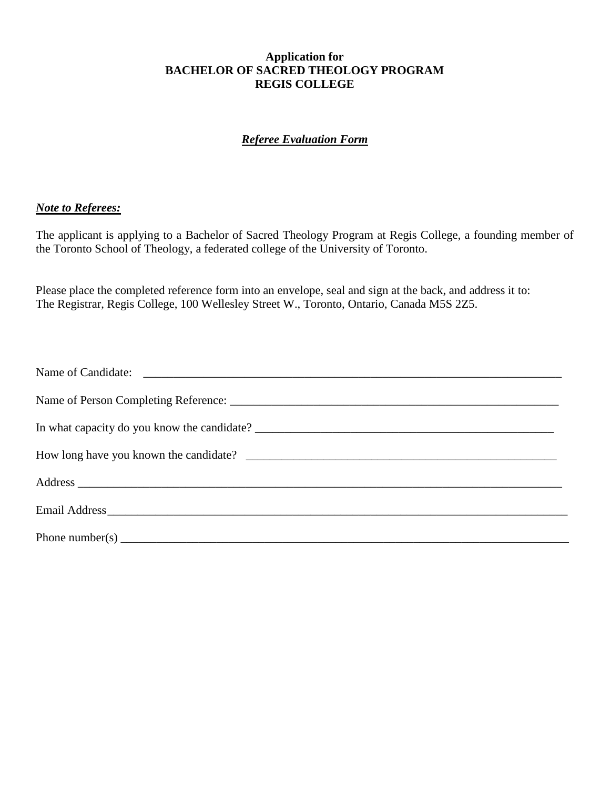## **Application for BACHELOR OF SACRED THEOLOGY PROGRAM REGIS COLLEGE**

# *Referee Evaluation Form*

### *Note to Referees:*

The applicant is applying to a Bachelor of Sacred Theology Program at Regis College, a founding member of the Toronto School of Theology, a federated college of the University of Toronto.

Please place the completed reference form into an envelope, seal and sign at the back, and address it to: The Registrar, Regis College, 100 Wellesley Street W., Toronto, Ontario, Canada M5S 2Z5.

| Phone number(s) $\frac{1}{2}$ = $\frac{1}{2}$ = $\frac{1}{2}$ = $\frac{1}{2}$ = $\frac{1}{2}$ = $\frac{1}{2}$ = $\frac{1}{2}$ = $\frac{1}{2}$ = $\frac{1}{2}$ = $\frac{1}{2}$ = $\frac{1}{2}$ = $\frac{1}{2}$ = $\frac{1}{2}$ = $\frac{1}{2}$ = $\frac{1}{2}$ = $\frac{1}{2}$ = $\frac{1}{2}$ = |
|-------------------------------------------------------------------------------------------------------------------------------------------------------------------------------------------------------------------------------------------------------------------------------------------------|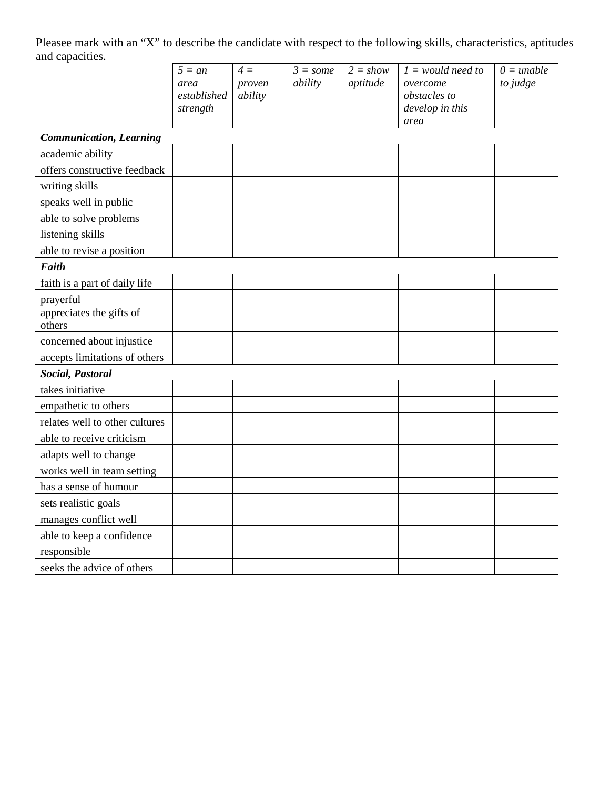Pleasee mark with an "X" to describe the candidate with respect to the following skills, characteristics, aptitudes and capacities.

| $5 = an$    | $4 =$   | $3 = some$ | $2 = show$ | $1 =$ would need to | $0 = \text{unable}$ |
|-------------|---------|------------|------------|---------------------|---------------------|
| area        | proven  | ability    | aptitude   | overcome            | to judge            |
| established | ability |            |            | <i>obstacles to</i> |                     |
| strength    |         |            |            | develop in this     |                     |
|             |         |            |            | area                |                     |

## *Communication, Learning*

| academic ability                   |  |  |  |
|------------------------------------|--|--|--|
| offers constructive feedback       |  |  |  |
| writing skills                     |  |  |  |
| speaks well in public              |  |  |  |
| able to solve problems             |  |  |  |
| listening skills                   |  |  |  |
| able to revise a position          |  |  |  |
| <b>Faith</b>                       |  |  |  |
| faith is a part of daily life      |  |  |  |
| prayerful                          |  |  |  |
| appreciates the gifts of<br>others |  |  |  |
| concerned about injustice          |  |  |  |
| accepts limitations of others      |  |  |  |
| Social, Pastoral                   |  |  |  |
| takes initiative                   |  |  |  |
| empathetic to others               |  |  |  |
| relates well to other cultures     |  |  |  |
| able to receive criticism          |  |  |  |
| adapts well to change              |  |  |  |
| works well in team setting         |  |  |  |
| has a sense of humour              |  |  |  |
| sets realistic goals               |  |  |  |
| manages conflict well              |  |  |  |
| able to keep a confidence          |  |  |  |
| responsible                        |  |  |  |
| seeks the advice of others         |  |  |  |